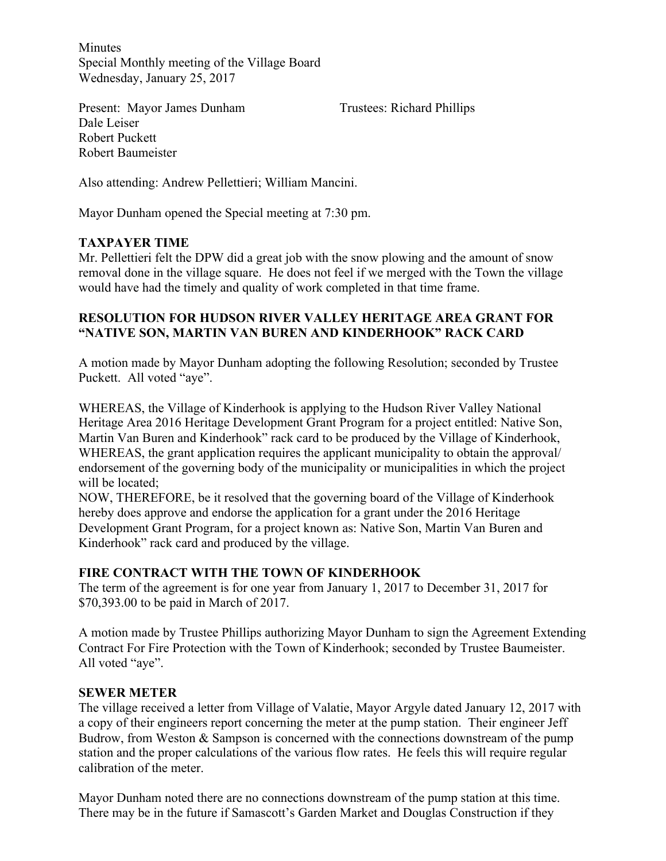Minutes Special Monthly meeting of the Village Board Wednesday, January 25, 2017

Present: Mayor James Dunham Trustees: Richard Phillips Dale Leiser Robert Puckett Robert Baumeister

Also attending: Andrew Pellettieri; William Mancini.

Mayor Dunham opened the Special meeting at 7:30 pm.

# **TAXPAYER TIME**

Mr. Pellettieri felt the DPW did a great job with the snow plowing and the amount of snow removal done in the village square. He does not feel if we merged with the Town the village would have had the timely and quality of work completed in that time frame.

## **RESOLUTION FOR HUDSON RIVER VALLEY HERITAGE AREA GRANT FOR "NATIVE SON, MARTIN VAN BUREN AND KINDERHOOK" RACK CARD**

A motion made by Mayor Dunham adopting the following Resolution; seconded by Trustee Puckett. All voted "aye".

WHEREAS, the Village of Kinderhook is applying to the Hudson River Valley National Heritage Area 2016 Heritage Development Grant Program for a project entitled: Native Son, Martin Van Buren and Kinderhook" rack card to be produced by the Village of Kinderhook, WHEREAS, the grant application requires the applicant municipality to obtain the approval/ endorsement of the governing body of the municipality or municipalities in which the project will be located;

NOW, THEREFORE, be it resolved that the governing board of the Village of Kinderhook hereby does approve and endorse the application for a grant under the 2016 Heritage Development Grant Program, for a project known as: Native Son, Martin Van Buren and Kinderhook" rack card and produced by the village.

# **FIRE CONTRACT WITH THE TOWN OF KINDERHOOK**

The term of the agreement is for one year from January 1, 2017 to December 31, 2017 for \$70,393.00 to be paid in March of 2017.

A motion made by Trustee Phillips authorizing Mayor Dunham to sign the Agreement Extending Contract For Fire Protection with the Town of Kinderhook; seconded by Trustee Baumeister. All voted "aye".

### **SEWER METER**

The village received a letter from Village of Valatie, Mayor Argyle dated January 12, 2017 with a copy of their engineers report concerning the meter at the pump station. Their engineer Jeff Budrow, from Weston & Sampson is concerned with the connections downstream of the pump station and the proper calculations of the various flow rates. He feels this will require regular calibration of the meter.

Mayor Dunham noted there are no connections downstream of the pump station at this time. There may be in the future if Samascott's Garden Market and Douglas Construction if they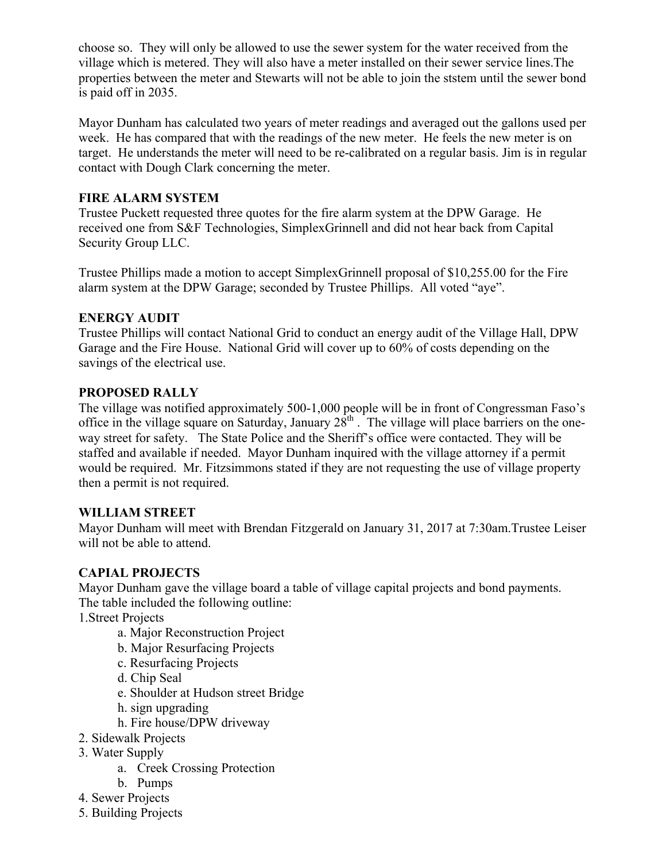choose so. They will only be allowed to use the sewer system for the water received from the village which is metered. They will also have a meter installed on their sewer service lines.The properties between the meter and Stewarts will not be able to join the ststem until the sewer bond is paid off in 2035.

Mayor Dunham has calculated two years of meter readings and averaged out the gallons used per week. He has compared that with the readings of the new meter. He feels the new meter is on target. He understands the meter will need to be re-calibrated on a regular basis. Jim is in regular contact with Dough Clark concerning the meter.

## **FIRE ALARM SYSTEM**

Trustee Puckett requested three quotes for the fire alarm system at the DPW Garage. He received one from S&F Technologies, SimplexGrinnell and did not hear back from Capital Security Group LLC.

Trustee Phillips made a motion to accept SimplexGrinnell proposal of \$10,255.00 for the Fire alarm system at the DPW Garage; seconded by Trustee Phillips. All voted "aye".

# **ENERGY AUDIT**

Trustee Phillips will contact National Grid to conduct an energy audit of the Village Hall, DPW Garage and the Fire House. National Grid will cover up to 60% of costs depending on the savings of the electrical use.

### **PROPOSED RALLY**

The village was notified approximately 500-1,000 people will be in front of Congressman Faso's office in the village square on Saturday, January  $28^{th}$ . The village will place barriers on the oneway street for safety. The State Police and the Sheriff's office were contacted. They will be staffed and available if needed. Mayor Dunham inquired with the village attorney if a permit would be required. Mr. Fitzsimmons stated if they are not requesting the use of village property then a permit is not required.

### **WILLIAM STREET**

Mayor Dunham will meet with Brendan Fitzgerald on January 31, 2017 at 7:30am.Trustee Leiser will not be able to attend.

# **CAPIAL PROJECTS**

Mayor Dunham gave the village board a table of village capital projects and bond payments. The table included the following outline:

1.Street Projects

- a. Major Reconstruction Project
- b. Major Resurfacing Projects
- c. Resurfacing Projects
- d. Chip Seal
- e. Shoulder at Hudson street Bridge
- h. sign upgrading
- h. Fire house/DPW driveway
- 2. Sidewalk Projects
- 3. Water Supply
	- a. Creek Crossing Protection
	- b. Pumps
- 4. Sewer Projects
- 5. Building Projects